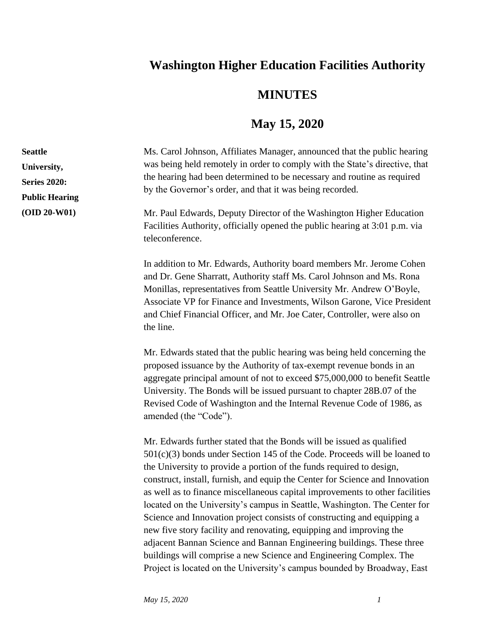## **Washington Higher Education Facilities Authority**

## **MINUTES**

## **May 15, 2020**

Ms. Carol Johnson, Affiliates Manager, announced that the public hearing was being held remotely in order to comply with the State's directive, that the hearing had been determined to be necessary and routine as required by the Governor's order, and that it was being recorded. Mr. Paul Edwards, Deputy Director of the Washington Higher Education Facilities Authority, officially opened the public hearing at 3:01 p.m. via teleconference. In addition to Mr. Edwards, Authority board members Mr. Jerome Cohen and Dr. Gene Sharratt, Authority staff Ms. Carol Johnson and Ms. Rona Monillas, representatives from Seattle University Mr. Andrew O'Boyle, Associate VP for Finance and Investments, Wilson Garone, Vice President and Chief Financial Officer, and Mr. Joe Cater, Controller, were also on the line. Mr. Edwards stated that the public hearing was being held concerning the proposed issuance by the Authority of tax-exempt revenue bonds in an aggregate principal amount of not to exceed \$75,000,000 to benefit Seattle University. The Bonds will be issued pursuant to chapter 28B.07 of the Revised Code of Washington and the Internal Revenue Code of 1986, as amended (the "Code"). Mr. Edwards further stated that the Bonds will be issued as qualified 501(c)(3) bonds under Section 145 of the Code. Proceeds will be loaned to the University to provide a portion of the funds required to design, construct, install, furnish, and equip the Center for Science and Innovation **Seattle University, Series 2020: Public Hearing (OID 20-W01)**

> located on the University's campus in Seattle, Washington. The Center for Science and Innovation project consists of constructing and equipping a

> new five story facility and renovating, equipping and improving the adjacent Bannan Science and Bannan Engineering buildings. These three buildings will comprise a new Science and Engineering Complex. The Project is located on the University's campus bounded by Broadway, East

> as well as to finance miscellaneous capital improvements to other facilities